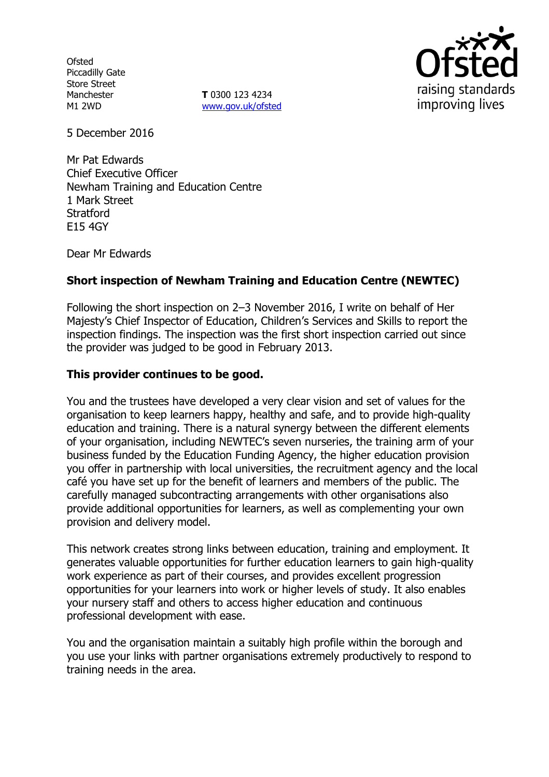**Ofsted** Piccadilly Gate Store Street Manchester M1 2WD

**T** 0300 123 4234 www.gov.uk/ofsted



5 December 2016

Mr Pat Edwards Chief Executive Officer Newham Training and Education Centre 1 Mark Street **Stratford** E15 4GY

Dear Mr Edwards

# **Short inspection of Newham Training and Education Centre (NEWTEC)**

Following the short inspection on 2–3 November 2016, I write on behalf of Her Majesty's Chief Inspector of Education, Children's Services and Skills to report the inspection findings. The inspection was the first short inspection carried out since the provider was judged to be good in February 2013.

# **This provider continues to be good.**

You and the trustees have developed a very clear vision and set of values for the organisation to keep learners happy, healthy and safe, and to provide high-quality education and training. There is a natural synergy between the different elements of your organisation, including NEWTEC's seven nurseries, the training arm of your business funded by the Education Funding Agency, the higher education provision you offer in partnership with local universities, the recruitment agency and the local café you have set up for the benefit of learners and members of the public. The carefully managed subcontracting arrangements with other organisations also provide additional opportunities for learners, as well as complementing your own provision and delivery model.

This network creates strong links between education, training and employment. It generates valuable opportunities for further education learners to gain high-quality work experience as part of their courses, and provides excellent progression opportunities for your learners into work or higher levels of study. It also enables your nursery staff and others to access higher education and continuous professional development with ease.

You and the organisation maintain a suitably high profile within the borough and you use your links with partner organisations extremely productively to respond to training needs in the area.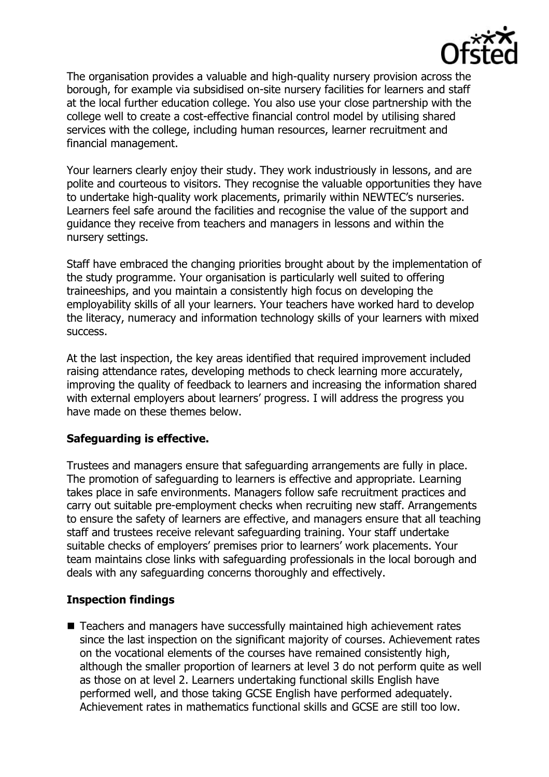

The organisation provides a valuable and high-quality nursery provision across the borough, for example via subsidised on-site nursery facilities for learners and staff at the local further education college. You also use your close partnership with the college well to create a cost-effective financial control model by utilising shared services with the college, including human resources, learner recruitment and financial management.

Your learners clearly enjoy their study. They work industriously in lessons, and are polite and courteous to visitors. They recognise the valuable opportunities they have to undertake high-quality work placements, primarily within NEWTEC's nurseries. Learners feel safe around the facilities and recognise the value of the support and guidance they receive from teachers and managers in lessons and within the nursery settings.

Staff have embraced the changing priorities brought about by the implementation of the study programme. Your organisation is particularly well suited to offering traineeships, and you maintain a consistently high focus on developing the employability skills of all your learners. Your teachers have worked hard to develop the literacy, numeracy and information technology skills of your learners with mixed success.

At the last inspection, the key areas identified that required improvement included raising attendance rates, developing methods to check learning more accurately, improving the quality of feedback to learners and increasing the information shared with external employers about learners' progress. I will address the progress you have made on these themes below.

### **Safeguarding is effective.**

Trustees and managers ensure that safeguarding arrangements are fully in place. The promotion of safeguarding to learners is effective and appropriate. Learning takes place in safe environments. Managers follow safe recruitment practices and carry out suitable pre-employment checks when recruiting new staff. Arrangements to ensure the safety of learners are effective, and managers ensure that all teaching staff and trustees receive relevant safeguarding training. Your staff undertake suitable checks of employers' premises prior to learners' work placements. Your team maintains close links with safeguarding professionals in the local borough and deals with any safeguarding concerns thoroughly and effectively.

# **Inspection findings**

■ Teachers and managers have successfully maintained high achievement rates since the last inspection on the significant majority of courses. Achievement rates on the vocational elements of the courses have remained consistently high, although the smaller proportion of learners at level 3 do not perform quite as well as those on at level 2. Learners undertaking functional skills English have performed well, and those taking GCSE English have performed adequately. Achievement rates in mathematics functional skills and GCSE are still too low.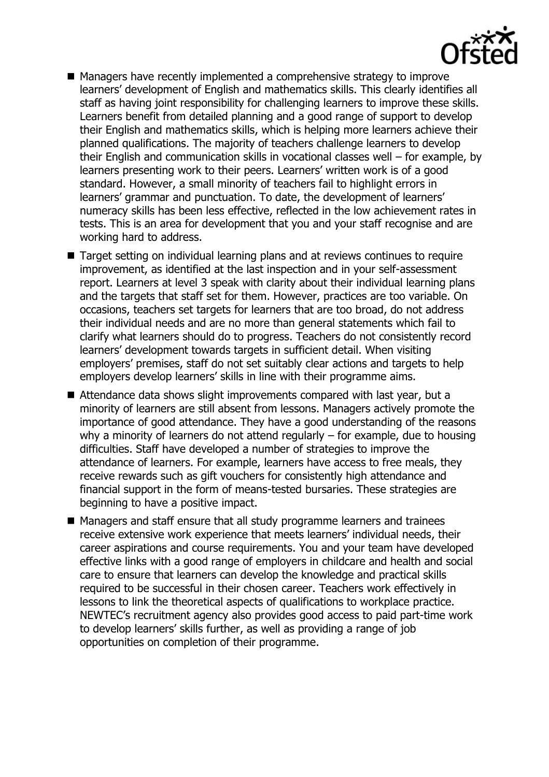

- Managers have recently implemented a comprehensive strategy to improve learners' development of English and mathematics skills. This clearly identifies all staff as having joint responsibility for challenging learners to improve these skills. Learners benefit from detailed planning and a good range of support to develop their English and mathematics skills, which is helping more learners achieve their planned qualifications. The majority of teachers challenge learners to develop their English and communication skills in vocational classes well – for example, by learners presenting work to their peers. Learners' written work is of a good standard. However, a small minority of teachers fail to highlight errors in learners' grammar and punctuation. To date, the development of learners' numeracy skills has been less effective, reflected in the low achievement rates in tests. This is an area for development that you and your staff recognise and are working hard to address.
- Target setting on individual learning plans and at reviews continues to require improvement, as identified at the last inspection and in your self-assessment report. Learners at level 3 speak with clarity about their individual learning plans and the targets that staff set for them. However, practices are too variable. On occasions, teachers set targets for learners that are too broad, do not address their individual needs and are no more than general statements which fail to clarify what learners should do to progress. Teachers do not consistently record learners' development towards targets in sufficient detail. When visiting employers' premises, staff do not set suitably clear actions and targets to help employers develop learners' skills in line with their programme aims.
- Attendance data shows slight improvements compared with last year, but a minority of learners are still absent from lessons. Managers actively promote the importance of good attendance. They have a good understanding of the reasons why a minority of learners do not attend regularly – for example, due to housing difficulties. Staff have developed a number of strategies to improve the attendance of learners. For example, learners have access to free meals, they receive rewards such as gift vouchers for consistently high attendance and financial support in the form of means-tested bursaries. These strategies are beginning to have a positive impact.
- Managers and staff ensure that all study programme learners and trainees receive extensive work experience that meets learners' individual needs, their career aspirations and course requirements. You and your team have developed effective links with a good range of employers in childcare and health and social care to ensure that learners can develop the knowledge and practical skills required to be successful in their chosen career. Teachers work effectively in lessons to link the theoretical aspects of qualifications to workplace practice. NEWTEC's recruitment agency also provides good access to paid part-time work to develop learners' skills further, as well as providing a range of job opportunities on completion of their programme.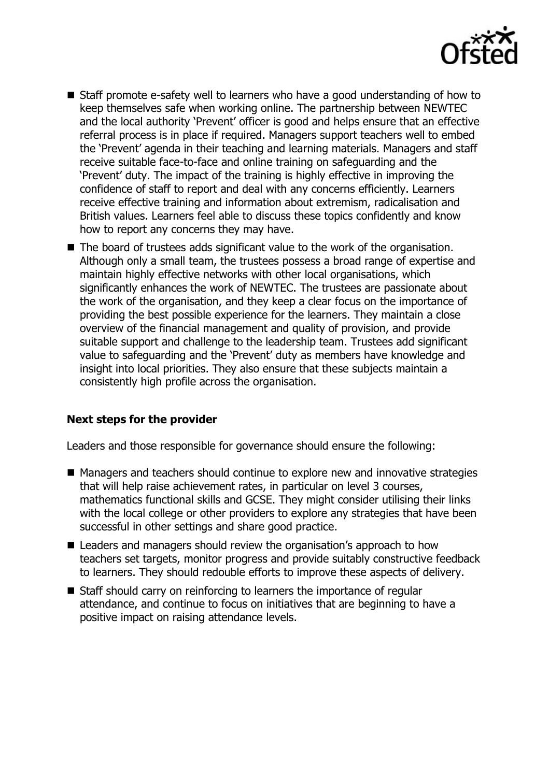

- Staff promote e-safety well to learners who have a good understanding of how to keep themselves safe when working online. The partnership between NEWTEC and the local authority 'Prevent' officer is good and helps ensure that an effective referral process is in place if required. Managers support teachers well to embed the 'Prevent' agenda in their teaching and learning materials. Managers and staff receive suitable face-to-face and online training on safeguarding and the 'Prevent' duty. The impact of the training is highly effective in improving the confidence of staff to report and deal with any concerns efficiently. Learners receive effective training and information about extremism, radicalisation and British values. Learners feel able to discuss these topics confidently and know how to report any concerns they may have.
- The board of trustees adds significant value to the work of the organisation. Although only a small team, the trustees possess a broad range of expertise and maintain highly effective networks with other local organisations, which significantly enhances the work of NEWTEC. The trustees are passionate about the work of the organisation, and they keep a clear focus on the importance of providing the best possible experience for the learners. They maintain a close overview of the financial management and quality of provision, and provide suitable support and challenge to the leadership team. Trustees add significant value to safeguarding and the 'Prevent' duty as members have knowledge and insight into local priorities. They also ensure that these subjects maintain a consistently high profile across the organisation.

# **Next steps for the provider**

Leaders and those responsible for governance should ensure the following:

- Managers and teachers should continue to explore new and innovative strategies that will help raise achievement rates, in particular on level 3 courses, mathematics functional skills and GCSE. They might consider utilising their links with the local college or other providers to explore any strategies that have been successful in other settings and share good practice.
- Leaders and managers should review the organisation's approach to how teachers set targets, monitor progress and provide suitably constructive feedback to learners. They should redouble efforts to improve these aspects of delivery.
- Staff should carry on reinforcing to learners the importance of regular attendance, and continue to focus on initiatives that are beginning to have a positive impact on raising attendance levels.